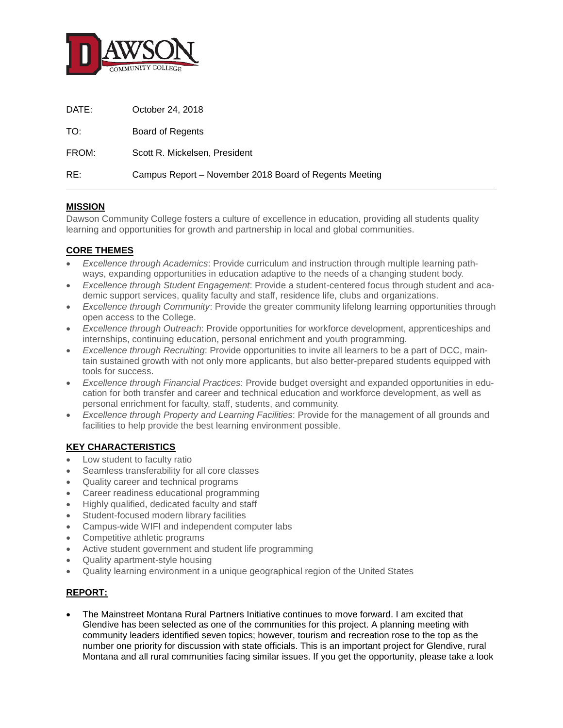

| DATE: | October 24, 2018                                       |
|-------|--------------------------------------------------------|
| TO:   | Board of Regents                                       |
| FROM: | Scott R. Mickelsen, President                          |
| RE:   | Campus Report – November 2018 Board of Regents Meeting |

## **MISSION**

Dawson Community College fosters a culture of excellence in education, providing all students quality learning and opportunities for growth and partnership in local and global communities.

## **CORE THEMES**

- *Excellence through Academics*: Provide curriculum and instruction through multiple learning pathways, expanding opportunities in education adaptive to the needs of a changing student body.
- *Excellence through Student Engagement*: Provide a student-centered focus through student and academic support services, quality faculty and staff, residence life, clubs and organizations.
- *Excellence through Community*: Provide the greater community lifelong learning opportunities through open access to the College.
- *Excellence through Outreach*: Provide opportunities for workforce development, apprenticeships and internships, continuing education, personal enrichment and youth programming.
- *Excellence through Recruiting*: Provide opportunities to invite all learners to be a part of DCC, maintain sustained growth with not only more applicants, but also better-prepared students equipped with tools for success.
- *Excellence through Financial Practices*: Provide budget oversight and expanded opportunities in education for both transfer and career and technical education and workforce development, as well as personal enrichment for faculty, staff, students, and community.
- *Excellence through Property and Learning Facilities*: Provide for the management of all grounds and facilities to help provide the best learning environment possible.

## **KEY CHARACTERISTICS**

- Low student to faculty ratio
- Seamless transferability for all core classes
- Quality career and technical programs
- Career readiness educational programming
- Highly qualified, dedicated faculty and staff
- Student-focused modern library facilities
- Campus-wide WIFI and independent computer labs
- Competitive athletic programs
- Active student government and student life programming
- Quality apartment-style housing
- Quality learning environment in a unique geographical region of the United States

## **REPORT:**

• The Mainstreet Montana Rural Partners Initiative continues to move forward. I am excited that Glendive has been selected as one of the communities for this project. A planning meeting with community leaders identified seven topics; however, tourism and recreation rose to the top as the number one priority for discussion with state officials. This is an important project for Glendive, rural Montana and all rural communities facing similar issues. If you get the opportunity, please take a look